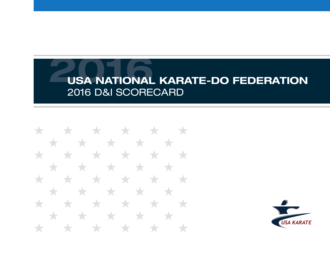\* \* \* \* \* \* \* \* \* \* \* \* \* \* \* \* \* \* \* ╅ \* \* \* **The State State** \* \* \* Y. ★  $\star$ ╅ **START START** \* \* \* \*  $\star$  $\rightarrow$  $\mathbf{r}$ 

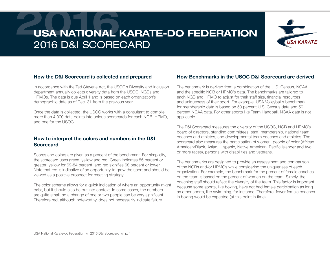

#### How the D&I Scorecard is collected and prepared

In accordance with the Ted Stevens Act, the USOC's Diversity and Inclusion department annually collects diversity data from the USOC, NGBs and HPMOs. The data is due April 1 and is based on each organization's demographic data as of Dec. 31 from the previous year.

Once the data is collected, the USOC works with a consultant to compile more than 4,000 data points into unique scorecards for each NGB, HPMO, and one for the USOC.

#### How to interpret the colors and numbers in the D&I **Scorecard**

Scores and colors are given as a percent of the benchmark. For simplicity, the scorecard uses green, yellow and red. Green indicates 85 percent or greater; yellow for 69-84 percent; and red signifies 68 percent or lower. Note that red is indicative of an opportunity to grow the sport and should be viewed as a positive prospect for creating strategy.

The color scheme allows for a quick indication of where an opportunity might exist, but it should also be put into context. In some cases, the numbers are quite small, so a change of one or two people can be very significant. Therefore red, although noteworthy, does not necessarily indicate failure.

#### How Benchmarks in the USOC D&I Scorecard are derived

The benchmark is derived from a combination of the U.S. Census, NCAA, and the specific NGB or HPMO's data. The benchmarks are tailored to each NGB and HPMO to adjust for their staff size, financial resources and uniqueness of their sport. For example, USA Volleyball's benchmark for membership data is based on 50 percent U.S. Census data and 50 percent NCAA data. For other sports like Team Handball, NCAA data is not applicable.

The D&I Scorecard measures the diversity of the USOC, NGB and HPMO's board of directors, standing committees, staff, membership, national team coaches and athletes, and developmental team coaches and athletes. The scorecard also measures the participation of women, people of color (African American/Black, Asian, Hispanic, Native American, Pacific Islander and two or more races), persons with disabilities and veterans.

The benchmarks are designed to provide an assessment and comparison of the NGBs and/or HPMOs while considering the uniqueness of each organization. For example, the benchmark for the percent of female coaches on the team is based on the percent of women on the team. Simply, the coaching staff should reflect the diversity of the team. This factor is important because some sports, like boxing, have not had female participation as long as other sports, like swimming, for instance. Therefore, fewer female coaches in boxing would be expected (at this point in time).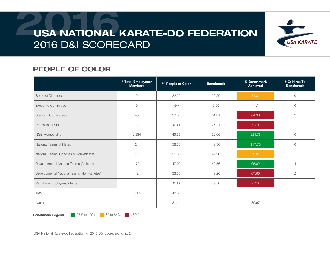

### PEOPLE OF COLOR

|                                             | # Total Employees/<br><b>Members</b> | % People of Color | <b>Benchmark</b> | % Benchmark<br><b>Achieved</b> | # Of Hires To<br><b>Benchmark</b> |
|---------------------------------------------|--------------------------------------|-------------------|------------------|--------------------------------|-----------------------------------|
| <b>Board of Directors</b>                   | 9                                    | 22.22             | 26.20            | 84.81                          | $\circ$                           |
| <b>Executive Committee</b>                  | $\circ$                              | N/A               | 0.00             | N/A                            | $\circ$                           |
| <b>Standing Committees</b>                  | 48                                   | 33.33             | 51.31            | 64.96                          | $\emph{9}$                        |
| Professional Staff                          | 3                                    | 0.00              | 25.21            | 0.00                           |                                   |
| NGB Membership                              | 2,284                                | 49.56             | 22.05            | 224.76                         | $\circ$                           |
| National Teams (Athletes)                   | 24                                   | 58.33             | 49.56            | 117.70                         | $\circlearrowright$               |
| National Teams (Coaches & Non-Athletes)     | 11                                   | 36.36             | 49.26            | 73.81                          |                                   |
| Developmental National Teams (Athletes)     | 172                                  | 47.09             | 49.56            | 95.02                          | $\overline{4}$                    |
| Developmental National Teams (Non-Athletes) | 12                                   | 33.33             | 49.26            | 67.66                          | $\overline{2}$                    |
| Part-Time Employees/Interns                 | $\mathbf{2}$                         | 0.00              | 49.56            | 0.00                           |                                   |
| Total                                       | 2,565                                | 48.83             |                  |                                |                                   |
| Average                                     |                                      | 31.14             |                  | 80.97                          |                                   |

**Benchmark Legend** 85% to 100+ 69 to 84%  $\blacksquare$  <68%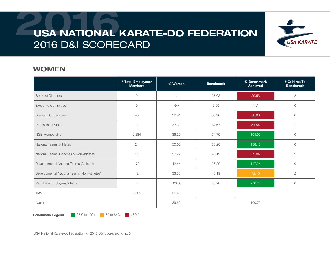

#### WOMEN

|                                             | # Total Employees/<br><b>Members</b> | % Women | <b>Benchmark</b> | % Benchmark<br><b>Achieved</b> | # Of Hires To<br><b>Benchmark</b> |
|---------------------------------------------|--------------------------------------|---------|------------------|--------------------------------|-----------------------------------|
| <b>Board of Directors</b>                   | $\emph{9}$                           | 11.11   | 37.62            | 29.53                          | $\overline{2}$                    |
| <b>Executive Committee</b>                  | $\circ$                              | N/A     | 0.00             | N/A                            | $\circ$                           |
| <b>Standing Committees</b>                  | 48                                   | 22.91   | 38.96            | 58.80                          | 8                                 |
| <b>Professional Staff</b>                   | 3                                    | 33.33   | 64.67            | 51.54                          |                                   |
| NGB Membership                              | 2,284                                | 36.20   | 34.79            | 104.05                         | $\circ$                           |
| National Teams (Athletes)                   | 24                                   | 50.00   | 36.20            | 138.12                         | $\circ$                           |
| National Teams (Coaches & Non-Athletes)     | 11                                   | 27.27   | 46.19            | 59.04                          | $\sqrt{2}$                        |
| Developmental National Teams (Athletes)     | 172                                  | 42.44   | 36.20            | 117.24                         | $\circ$                           |
| Developmental National Teams (Non-Athletes) | 12                                   | 33.33   | 46.19            | 72.16                          | $\overline{2}$                    |
| Part-Time Employees/Interns                 | $\sqrt{2}$                           | 100.00  | 36.20            | 276.24                         | $\circ$                           |
| Total                                       | 2,565                                | 36.40   |                  |                                |                                   |
| Average                                     |                                      | 39.62   |                  | 100.75                         |                                   |

**Benchmark Legend** 85% to 100+ 69 to 84%  $\blacksquare$  <68%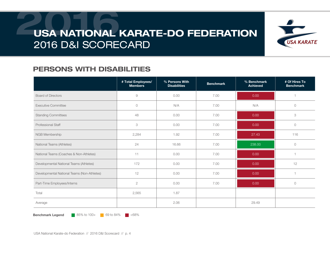

### PERSONS WITH DISABILITIES

|                                             | # Total Employees/<br><b>Members</b> | % Persons With<br><b>Disabilities</b> | <b>Benchmark</b> | % Benchmark<br><b>Achieved</b> | # Of Hires To<br><b>Benchmark</b> |
|---------------------------------------------|--------------------------------------|---------------------------------------|------------------|--------------------------------|-----------------------------------|
| <b>Board of Directors</b>                   | 9                                    | 0.00                                  | 7.00             | 0.00                           |                                   |
| <b>Executive Committee</b>                  | $\circ$                              | N/A                                   | 7.00             | N/A                            | $\circ$                           |
| <b>Standing Committees</b>                  | 48                                   | 0.00                                  | 7.00             | 0.00                           | $\ensuremath{\mathsf{3}}$         |
| <b>Professional Staff</b>                   | 3                                    | 0.00                                  | 7.00             | 0.00                           | $\bigcirc$                        |
| NGB Membership                              | 2,284                                | 1.92                                  | 7.00             | 27.43                          | 116                               |
| National Teams (Athletes)                   | 24                                   | 16.66                                 | 7.00             | 238.00                         | $\circ$                           |
| National Teams (Coaches & Non-Athletes)     | 11                                   | 0.00                                  | 7.00             | 0.00                           |                                   |
| Developmental National Teams (Athletes)     | 172                                  | 0.00                                  | 7.00             | 0.00                           | 12                                |
| Developmental National Teams (Non-Athletes) | 12                                   | 0.00                                  | 7.00             | 0.00                           |                                   |
| Part-Time Employees/Interns                 | $\mathbf{2}$                         | 0.00                                  | 7.00             | 0.00                           | $\circ$                           |
| Total                                       | 2,565                                | 1.87                                  |                  |                                |                                   |
| Average                                     |                                      | 2.06                                  |                  | 29.49                          |                                   |

**Benchmark Legend** 85% to 100+ 69 to 84%  $\blacksquare$  <68%